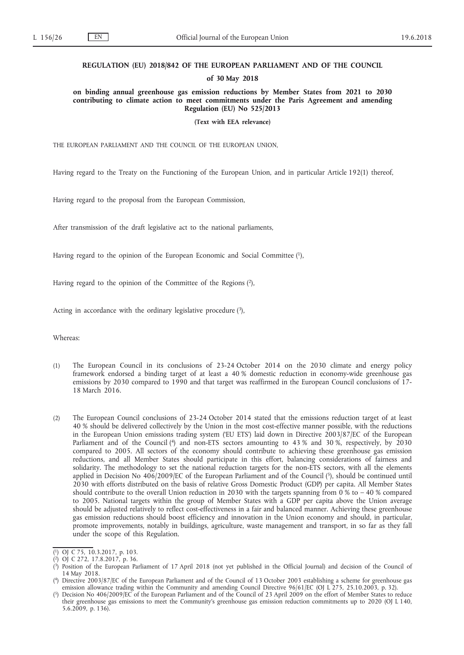### **REGULATION (EU) 2018/842 OF THE EUROPEAN PARLIAMENT AND OF THE COUNCIL**

#### **of 30 May 2018**

**on binding annual greenhouse gas emission reductions by Member States from 2021 to 2030 contributing to climate action to meet commitments under the Paris Agreement and amending Regulation (EU) No 525/2013**

**(Text with EEA relevance)**

THE EUROPEAN PARLIAMENT AND THE COUNCIL OF THE EUROPEAN UNION,

Having regard to the Treaty on the Functioning of the European Union, and in particular Article 192(1) thereof,

Having regard to the proposal from the European Commission,

After transmission of the draft legislative act to the national parliaments,

Having regard to the opinion of the European Economic and Social Committee (1),

Having regard to the opinion of the Committee of the Regions (2),

Acting in accordance with the ordinary legislative procedure  $(3)$ ,

Whereas:

- (1) The European Council in its conclusions of 23-24 October 2014 on the 2030 climate and energy policy framework endorsed a binding target of at least a 40 % domestic reduction in economy-wide greenhouse gas emissions by 2030 compared to 1990 and that target was reaffirmed in the European Council conclusions of 17- 18 March 2016.
- (2) The European Council conclusions of 23-24 October 2014 stated that the emissions reduction target of at least 40 % should be delivered collectively by the Union in the most cost-effective manner possible, with the reductions in the European Union emissions trading system ('EU ETS') laid down in Directive 2003/87/EC of the European Parliament and of the Council (<sup>4</sup>) and non-ETS sectors amounting to 43 % and 30 %, respectively, by 2030 compared to 2005. All sectors of the economy should contribute to achieving these greenhouse gas emission reductions, and all Member States should participate in this effort, balancing considerations of fairness and solidarity. The methodology to set the national reduction targets for the non-ETS sectors, with all the elements applied in Decision No 406/2009/EC of the European Parliament and of the Council (5), should be continued until 2030 with efforts distributed on the basis of relative Gross Domestic Product (GDP) per capita. All Member States should contribute to the overall Union reduction in 2030 with the targets spanning from 0 % to – 40 % compared to 2005. National targets within the group of Member States with a GDP per capita above the Union average should be adjusted relatively to reflect cost-effectiveness in a fair and balanced manner. Achieving these greenhouse gas emission reductions should boost efficiency and innovation in the Union economy and should, in particular, promote improvements, notably in buildings, agriculture, waste management and transport, in so far as they fall under the scope of this Regulation.

<sup>(</sup> 1) OJ C 75, 10.3.2017, p. 103.

<sup>(</sup> 2) OJ C 272, 17.8.2017, p. 36.

<sup>(</sup> 3) Position of the European Parliament of 17 April 2018 (not yet published in the Official Journal) and decision of the Council of 14 May 2018.

<sup>(</sup> 4) Directive 2003/87/EC of the European Parliament and of the Council of 13 October 2003 establishing a scheme for greenhouse gas emission allowance trading within the Community and amending Council Directive 96/61/EC (OJ L 275, 25.10.2003, p. 32).

<sup>(</sup> 5) Decision No 406/2009/EC of the European Parliament and of the Council of 23 April 2009 on the effort of Member States to reduce their greenhouse gas emissions to meet the Community's greenhouse gas emission reduction commitments up to 2020 (OJ L 140, 5.6.2009, p. 136).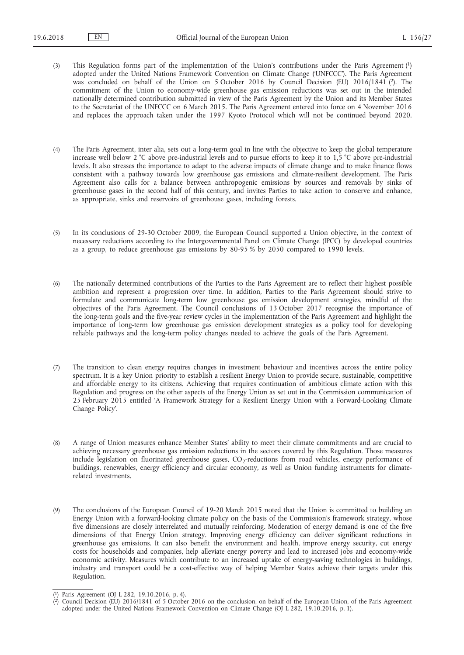- (3) This Regulation forms part of the implementation of the Union's contributions under the Paris Agreement (1) adopted under the United Nations Framework Convention on Climate Change ('UNFCCC'). The Paris Agreement was concluded on behalf of the Union on 5 October 2016 by Council Decision (EU) 2016/1841 (2). The commitment of the Union to economy-wide greenhouse gas emission reductions was set out in the intended nationally determined contribution submitted in view of the Paris Agreement by the Union and its Member States to the Secretariat of the UNFCCC on 6 March 2015. The Paris Agreement entered into force on 4 November 2016 and replaces the approach taken under the 1997 Kyoto Protocol which will not be continued beyond 2020.
- (4) The Paris Agreement, inter alia, sets out a long-term goal in line with the objective to keep the global temperature increase well below 2 °C above pre-industrial levels and to pursue efforts to keep it to 1,5 °C above pre-industrial levels. It also stresses the importance to adapt to the adverse impacts of climate change and to make finance flows consistent with a pathway towards low greenhouse gas emissions and climate-resilient development. The Paris Agreement also calls for a balance between anthropogenic emissions by sources and removals by sinks of greenhouse gases in the second half of this century, and invites Parties to take action to conserve and enhance, as appropriate, sinks and reservoirs of greenhouse gases, including forests.
- (5) In its conclusions of 29-30 October 2009, the European Council supported a Union objective, in the context of necessary reductions according to the Intergovernmental Panel on Climate Change (IPCC) by developed countries as a group, to reduce greenhouse gas emissions by 80-95 % by 2050 compared to 1990 levels.
- (6) The nationally determined contributions of the Parties to the Paris Agreement are to reflect their highest possible ambition and represent a progression over time. In addition, Parties to the Paris Agreement should strive to formulate and communicate long-term low greenhouse gas emission development strategies, mindful of the objectives of the Paris Agreement. The Council conclusions of 13 October 2017 recognise the importance of the long-term goals and the five-year review cycles in the implementation of the Paris Agreement and highlight the importance of long-term low greenhouse gas emission development strategies as a policy tool for developing reliable pathways and the long-term policy changes needed to achieve the goals of the Paris Agreement.
- (7) The transition to clean energy requires changes in investment behaviour and incentives across the entire policy spectrum. It is a key Union priority to establish a resilient Energy Union to provide secure, sustainable, competitive and affordable energy to its citizens. Achieving that requires continuation of ambitious climate action with this Regulation and progress on the other aspects of the Energy Union as set out in the Commission communication of 25 February 2015 entitled 'A Framework Strategy for a Resilient Energy Union with a Forward-Looking Climate Change Policy'.
- (8) A range of Union measures enhance Member States' ability to meet their climate commitments and are crucial to achieving necessary greenhouse gas emission reductions in the sectors covered by this Regulation. Those measures include legislation on fluorinated greenhouse gases,  $CO_2$ -reductions from road vehicles, energy performance of buildings, renewables, energy efficiency and circular economy, as well as Union funding instruments for climaterelated investments.
- (9) The conclusions of the European Council of 19-20 March 2015 noted that the Union is committed to building an Energy Union with a forward-looking climate policy on the basis of the Commission's framework strategy, whose five dimensions are closely interrelated and mutually reinforcing. Moderation of energy demand is one of the five dimensions of that Energy Union strategy. Improving energy efficiency can deliver significant reductions in greenhouse gas emissions. It can also benefit the environment and health, improve energy security, cut energy costs for households and companies, help alleviate energy poverty and lead to increased jobs and economy-wide economic activity. Measures which contribute to an increased uptake of energy-saving technologies in buildings, industry and transport could be a cost-effective way of helping Member States achieve their targets under this Regulation.

<sup>(</sup> 1) Paris Agreement (OJ L 282, 19.10.2016, p. 4).

<sup>(</sup> 2) Council Decision (EU) 2016/1841 of 5 October 2016 on the conclusion, on behalf of the European Union, of the Paris Agreement adopted under the United Nations Framework Convention on Climate Change (OJ L 282, 19.10.2016, p. 1).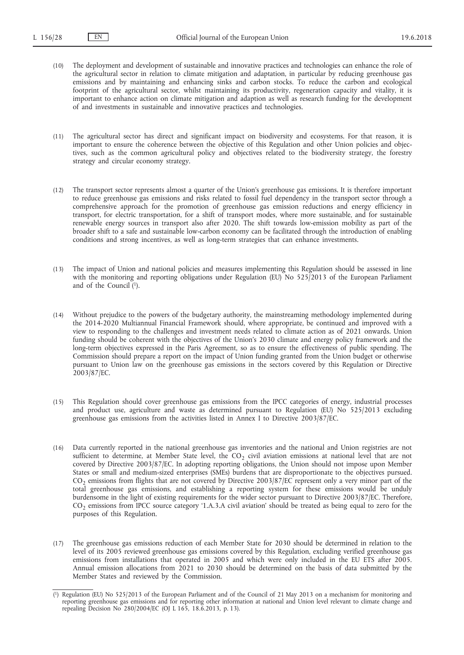- (10) The deployment and development of sustainable and innovative practices and technologies can enhance the role of the agricultural sector in relation to climate mitigation and adaptation, in particular by reducing greenhouse gas emissions and by maintaining and enhancing sinks and carbon stocks. To reduce the carbon and ecological footprint of the agricultural sector, whilst maintaining its productivity, regeneration capacity and vitality, it is important to enhance action on climate mitigation and adaption as well as research funding for the development of and investments in sustainable and innovative practices and technologies.
- (11) The agricultural sector has direct and significant impact on biodiversity and ecosystems. For that reason, it is important to ensure the coherence between the objective of this Regulation and other Union policies and objectives, such as the common agricultural policy and objectives related to the biodiversity strategy, the forestry strategy and circular economy strategy.
- (12) The transport sector represents almost a quarter of the Union's greenhouse gas emissions. It is therefore important to reduce greenhouse gas emissions and risks related to fossil fuel dependency in the transport sector through a comprehensive approach for the promotion of greenhouse gas emission reductions and energy efficiency in transport, for electric transportation, for a shift of transport modes, where more sustainable, and for sustainable renewable energy sources in transport also after 2020. The shift towards low-emission mobility as part of the broader shift to a safe and sustainable low-carbon economy can be facilitated through the introduction of enabling conditions and strong incentives, as well as long-term strategies that can enhance investments.
- (13) The impact of Union and national policies and measures implementing this Regulation should be assessed in line with the monitoring and reporting obligations under Regulation (EU) No 525/2013 of the European Parliament and of the Council (1).
- (14) Without prejudice to the powers of the budgetary authority, the mainstreaming methodology implemented during the 2014-2020 Multiannual Financial Framework should, where appropriate, be continued and improved with a view to responding to the challenges and investment needs related to climate action as of 2021 onwards. Union funding should be coherent with the objectives of the Union's 2030 climate and energy policy framework and the long-term objectives expressed in the Paris Agreement, so as to ensure the effectiveness of public spending. The Commission should prepare a report on the impact of Union funding granted from the Union budget or otherwise pursuant to Union law on the greenhouse gas emissions in the sectors covered by this Regulation or Directive 2003/87/EC.
- (15) This Regulation should cover greenhouse gas emissions from the IPCC categories of energy, industrial processes and product use, agriculture and waste as determined pursuant to Regulation (EU) No 525/2013 excluding greenhouse gas emissions from the activities listed in Annex I to Directive 2003/87/EC.
- (16) Data currently reported in the national greenhouse gas inventories and the national and Union registries are not sufficient to determine, at Member State level, the  $CO<sub>2</sub>$  civil aviation emissions at national level that are not covered by Directive 2003/87/EC. In adopting reporting obligations, the Union should not impose upon Member States or small and medium-sized enterprises (SMEs) burdens that are disproportionate to the objectives pursued. CO<sub>2</sub> emissions from flights that are not covered by Directive 2003/87/EC represent only a very minor part of the total greenhouse gas emissions, and establishing a reporting system for these emissions would be unduly burdensome in the light of existing requirements for the wider sector pursuant to Directive 2003/87/EC. Therefore, CO<sub>2</sub> emissions from IPCC source category '1.A.3.A civil aviation' should be treated as being equal to zero for the purposes of this Regulation.
- (17) The greenhouse gas emissions reduction of each Member State for 2030 should be determined in relation to the level of its 2005 reviewed greenhouse gas emissions covered by this Regulation, excluding verified greenhouse gas emissions from installations that operated in 2005 and which were only included in the EU ETS after 2005. Annual emission allocations from 2021 to 2030 should be determined on the basis of data submitted by the Member States and reviewed by the Commission.

<sup>(</sup> 1) Regulation (EU) No 525/2013 of the European Parliament and of the Council of 21 May 2013 on a mechanism for monitoring and reporting greenhouse gas emissions and for reporting other information at national and Union level relevant to climate change and repealing Decision No 280/2004/EC (OJ L 165, 18.6.2013, p. 13).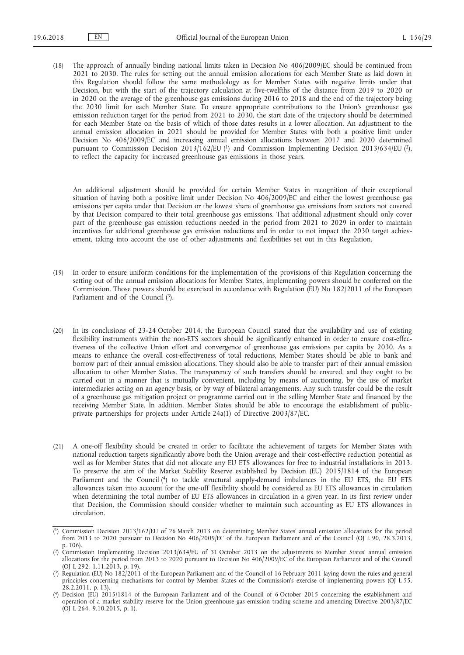(18) The approach of annually binding national limits taken in Decision No 406/2009/EC should be continued from 2021 to 2030. The rules for setting out the annual emission allocations for each Member State as laid down in this Regulation should follow the same methodology as for Member States with negative limits under that Decision, but with the start of the trajectory calculation at five-twelfths of the distance from 2019 to 2020 or in 2020 on the average of the greenhouse gas emissions during 2016 to 2018 and the end of the trajectory being the 2030 limit for each Member State. To ensure appropriate contributions to the Union's greenhouse gas emission reduction target for the period from 2021 to 2030, the start date of the trajectory should be determined for each Member State on the basis of which of those dates results in a lower allocation. An adjustment to the annual emission allocation in 2021 should be provided for Member States with both a positive limit under Decision No 406/2009/EC and increasing annual emission allocations between 2017 and 2020 determined pursuant to Commission Decision 2013/162/EU (1) and Commission Implementing Decision 2013/634/EU (2), to reflect the capacity for increased greenhouse gas emissions in those years.

An additional adjustment should be provided for certain Member States in recognition of their exceptional situation of having both a positive limit under Decision No 406/2009/EC and either the lowest greenhouse gas emissions per capita under that Decision or the lowest share of greenhouse gas emissions from sectors not covered by that Decision compared to their total greenhouse gas emissions. That additional adjustment should only cover part of the greenhouse gas emission reductions needed in the period from 2021 to 2029 in order to maintain incentives for additional greenhouse gas emission reductions and in order to not impact the 2030 target achievement, taking into account the use of other adjustments and flexibilities set out in this Regulation.

- (19) In order to ensure uniform conditions for the implementation of the provisions of this Regulation concerning the setting out of the annual emission allocations for Member States, implementing powers should be conferred on the Commission. Those powers should be exercised in accordance with Regulation (EU) No 182/2011 of the European Parliament and of the Council (3).
- (20) In its conclusions of 23-24 October 2014, the European Council stated that the availability and use of existing flexibility instruments within the non-ETS sectors should be significantly enhanced in order to ensure cost-effectiveness of the collective Union effort and convergence of greenhouse gas emissions per capita by 2030. As a means to enhance the overall cost-effectiveness of total reductions, Member States should be able to bank and borrow part of their annual emission allocations. They should also be able to transfer part of their annual emission allocation to other Member States. The transparency of such transfers should be ensured, and they ought to be carried out in a manner that is mutually convenient, including by means of auctioning, by the use of market intermediaries acting on an agency basis, or by way of bilateral arrangements. Any such transfer could be the result of a greenhouse gas mitigation project or programme carried out in the selling Member State and financed by the receiving Member State. In addition, Member States should be able to encourage the establishment of publicprivate partnerships for projects under Article 24a(1) of Directive 2003/87/EC.
- (21) A one-off flexibility should be created in order to facilitate the achievement of targets for Member States with national reduction targets significantly above both the Union average and their cost-effective reduction potential as well as for Member States that did not allocate any EU ETS allowances for free to industrial installations in 2013. To preserve the aim of the Market Stability Reserve established by Decision (EU) 2015/1814 of the European Parliament and the Council (4) to tackle structural supply-demand imbalances in the EU ETS, the EU ETS allowances taken into account for the one-off flexibility should be considered as EU ETS allowances in circulation when determining the total number of EU ETS allowances in circulation in a given year. In its first review under that Decision, the Commission should consider whether to maintain such accounting as EU ETS allowances in circulation.

<sup>(</sup> 1) Commission Decision 2013/162/EU of 26 March 2013 on determining Member States' annual emission allocations for the period from 2013 to 2020 pursuant to Decision No 406/2009/EC of the European Parliament and of the Council (OJ L 90, 28.3.2013, p. 106).

<sup>(</sup> 2) Commission Implementing Decision 2013/634/EU of 31 October 2013 on the adjustments to Member States' annual emission allocations for the period from 2013 to 2020 pursuant to Decision No 406/2009/EC of the European Parliament and of the Council (OJ L 292, 1.11.2013, p. 19).

<sup>(</sup> 3) Regulation (EU) No 182/2011 of the European Parliament and of the Council of 16 February 2011 laying down the rules and general principles concerning mechanisms for control by Member States of the Commission's exercise of implementing powers (OJ L 55, 28.2.2011, p. 13).

<sup>(</sup> 4) Decision (EU) 2015/1814 of the European Parliament and of the Council of 6 October 2015 concerning the establishment and operation of a market stability reserve for the Union greenhouse gas emission trading scheme and amending Directive 2003/87/EC (OJ L 264, 9.10.2015, p. 1).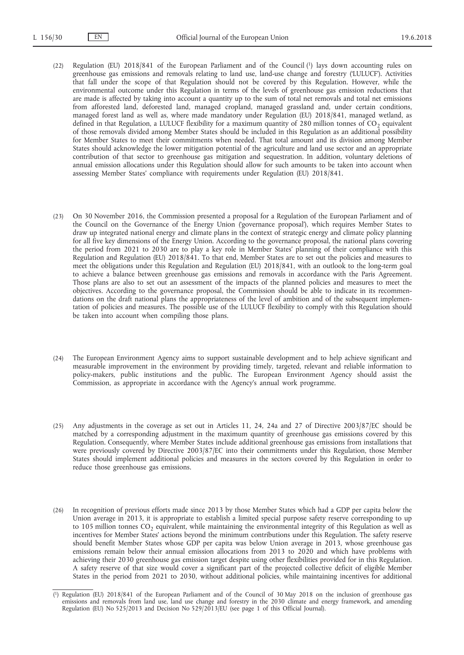- (22) Regulation (EU) 2018/841 of the European Parliament and of the Council (1) lays down accounting rules on greenhouse gas emissions and removals relating to land use, land-use change and forestry ('LULUCF'). Activities that fall under the scope of that Regulation should not be covered by this Regulation. However, while the environmental outcome under this Regulation in terms of the levels of greenhouse gas emission reductions that are made is affected by taking into account a quantity up to the sum of total net removals and total net emissions from afforested land, deforested land, managed cropland, managed grassland and, under certain conditions, managed forest land as well as, where made mandatory under Regulation (EU) 2018/841, managed wetland, as defined in that Regulation, a LULUCF flexibility for a maximum quantity of 280 million tonnes of  $CO<sub>2</sub>$  equivalent of those removals divided among Member States should be included in this Regulation as an additional possibility for Member States to meet their commitments when needed. That total amount and its division among Member States should acknowledge the lower mitigation potential of the agriculture and land use sector and an appropriate contribution of that sector to greenhouse gas mitigation and sequestration. In addition, voluntary deletions of annual emission allocations under this Regulation should allow for such amounts to be taken into account when assessing Member States' compliance with requirements under Regulation (EU) 2018/841.
- (23) On 30 November 2016, the Commission presented a proposal for a Regulation of the European Parliament and of the Council on the Governance of the Energy Union ('governance proposal'), which requires Member States to draw up integrated national energy and climate plans in the context of strategic energy and climate policy planning for all five key dimensions of the Energy Union. According to the governance proposal, the national plans covering the period from 2021 to 2030 are to play a key role in Member States' planning of their compliance with this Regulation and Regulation (EU) 2018/841. To that end, Member States are to set out the policies and measures to meet the obligations under this Regulation and Regulation (EU) 2018/841, with an outlook to the long-term goal to achieve a balance between greenhouse gas emissions and removals in accordance with the Paris Agreement. Those plans are also to set out an assessment of the impacts of the planned policies and measures to meet the objectives. According to the governance proposal, the Commission should be able to indicate in its recommendations on the draft national plans the appropriateness of the level of ambition and of the subsequent implementation of policies and measures. The possible use of the LULUCF flexibility to comply with this Regulation should be taken into account when compiling those plans.
- (24) The European Environment Agency aims to support sustainable development and to help achieve significant and measurable improvement in the environment by providing timely, targeted, relevant and reliable information to policy-makers, public institutions and the public. The European Environment Agency should assist the Commission, as appropriate in accordance with the Agency's annual work programme.
- (25) Any adjustments in the coverage as set out in Articles 11, 24, 24a and 27 of Directive 2003/87/EC should be matched by a corresponding adjustment in the maximum quantity of greenhouse gas emissions covered by this Regulation. Consequently, where Member States include additional greenhouse gas emissions from installations that were previously covered by Directive 2003/87/EC into their commitments under this Regulation, those Member States should implement additional policies and measures in the sectors covered by this Regulation in order to reduce those greenhouse gas emissions.
- (26) In recognition of previous efforts made since 2013 by those Member States which had a GDP per capita below the Union average in 2013, it is appropriate to establish a limited special purpose safety reserve corresponding to up to 105 million tonnes  $CO<sub>2</sub>$  equivalent, while maintaining the environmental integrity of this Regulation as well as incentives for Member States' actions beyond the minimum contributions under this Regulation. The safety reserve should benefit Member States whose GDP per capita was below Union average in 2013, whose greenhouse gas emissions remain below their annual emission allocations from 2013 to 2020 and which have problems with achieving their 2030 greenhouse gas emission target despite using other flexibilities provided for in this Regulation. A safety reserve of that size would cover a significant part of the projected collective deficit of eligible Member States in the period from 2021 to 2030, without additional policies, while maintaining incentives for additional

<sup>(</sup> 1) Regulation (EU) 2018/841 of the European Parliament and of the Council of 30 May 2018 on the inclusion of greenhouse gas emissions and removals from land use, land use change and forestry in the 2030 climate and energy framework, and amending Regulation (EU) No 525/2013 and Decision No 529/2013/EU (see page 1 of this Official Journal).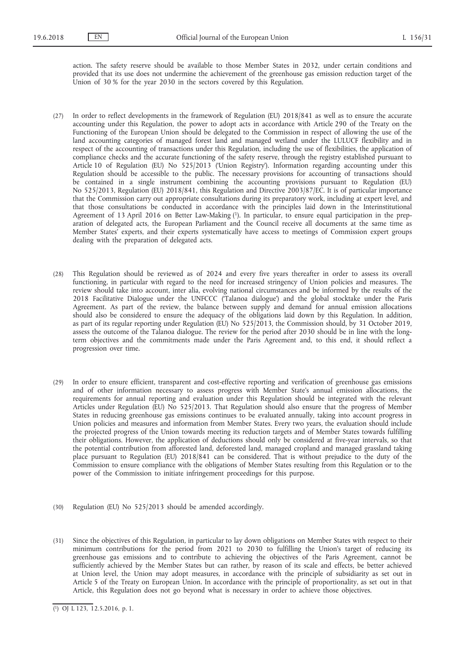action. The safety reserve should be available to those Member States in 2032, under certain conditions and provided that its use does not undermine the achievement of the greenhouse gas emission reduction target of the Union of 30 % for the year 2030 in the sectors covered by this Regulation.

- (27) In order to reflect developments in the framework of Regulation (EU) 2018/841 as well as to ensure the accurate accounting under this Regulation, the power to adopt acts in accordance with Article 290 of the Treaty on the Functioning of the European Union should be delegated to the Commission in respect of allowing the use of the land accounting categories of managed forest land and managed wetland under the LULUCF flexibility and in respect of the accounting of transactions under this Regulation, including the use of flexibilities, the application of compliance checks and the accurate functioning of the safety reserve, through the registry established pursuant to Article 10 of Regulation (EU) No 525/2013 ('Union Registry'). Information regarding accounting under this Regulation should be accessible to the public. The necessary provisions for accounting of transactions should be contained in a single instrument combining the accounting provisions pursuant to Regulation (EU) No 525/2013, Regulation (EU) 2018/841, this Regulation and Directive 2003/87/EC. It is of particular importance that the Commission carry out appropriate consultations during its preparatory work, including at expert level, and that those consultations be conducted in accordance with the principles laid down in the Interinstitutional Agreement of 13 April 2016 on Better Law-Making (1). In particular, to ensure equal participation in the preparation of delegated acts, the European Parliament and the Council receive all documents at the same time as Member States' experts, and their experts systematically have access to meetings of Commission expert groups dealing with the preparation of delegated acts.
- (28) This Regulation should be reviewed as of 2024 and every five years thereafter in order to assess its overall functioning, in particular with regard to the need for increased stringency of Union policies and measures. The review should take into account, inter alia, evolving national circumstances and be informed by the results of the 2018 Facilitative Dialogue under the UNFCCC ('Talanoa dialogue') and the global stocktake under the Paris Agreement. As part of the review, the balance between supply and demand for annual emission allocations should also be considered to ensure the adequacy of the obligations laid down by this Regulation. In addition, as part of its regular reporting under Regulation (EU) No 525/2013, the Commission should, by 31 October 2019, assess the outcome of the Talanoa dialogue. The review for the period after 2030 should be in line with the longterm objectives and the commitments made under the Paris Agreement and, to this end, it should reflect a progression over time.
- (29) In order to ensure efficient, transparent and cost-effective reporting and verification of greenhouse gas emissions and of other information necessary to assess progress with Member State's annual emission allocations, the requirements for annual reporting and evaluation under this Regulation should be integrated with the relevant Articles under Regulation (EU) No 525/2013. That Regulation should also ensure that the progress of Member States in reducing greenhouse gas emissions continues to be evaluated annually, taking into account progress in Union policies and measures and information from Member States. Every two years, the evaluation should include the projected progress of the Union towards meeting its reduction targets and of Member States towards fulfilling their obligations. However, the application of deductions should only be considered at five-year intervals, so that the potential contribution from afforested land, deforested land, managed cropland and managed grassland taking place pursuant to Regulation (EU) 2018/841 can be considered. That is without prejudice to the duty of the Commission to ensure compliance with the obligations of Member States resulting from this Regulation or to the power of the Commission to initiate infringement proceedings for this purpose.
- (30) Regulation (EU) No 525/2013 should be amended accordingly.
- (31) Since the objectives of this Regulation, in particular to lay down obligations on Member States with respect to their minimum contributions for the period from 2021 to 2030 to fulfilling the Union's target of reducing its greenhouse gas emissions and to contribute to achieving the objectives of the Paris Agreement, cannot be sufficiently achieved by the Member States but can rather, by reason of its scale and effects, be better achieved at Union level, the Union may adopt measures, in accordance with the principle of subsidiarity as set out in Article 5 of the Treaty on European Union. In accordance with the principle of proportionality, as set out in that Article, this Regulation does not go beyond what is necessary in order to achieve those objectives.

<sup>(</sup> 1) OJ L 123, 12.5.2016, p. 1.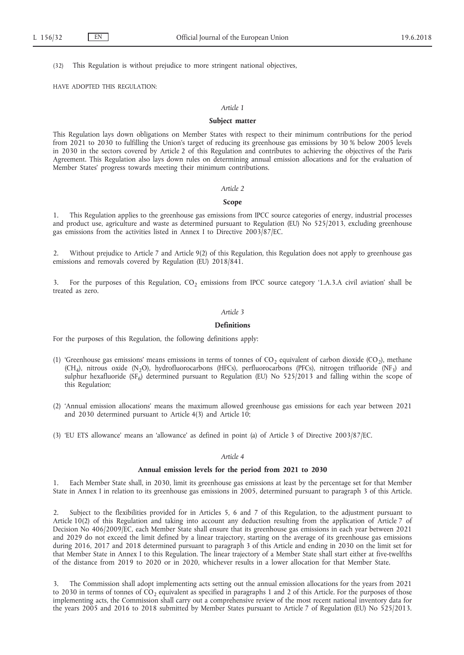(32) This Regulation is without prejudice to more stringent national objectives,

#### HAVE ADOPTED THIS REGULATION:

### *Article 1*

#### **Subject matter**

This Regulation lays down obligations on Member States with respect to their minimum contributions for the period from 2021 to 2030 to fulfilling the Union's target of reducing its greenhouse gas emissions by 30 % below 2005 levels in 2030 in the sectors covered by Article 2 of this Regulation and contributes to achieving the objectives of the Paris Agreement. This Regulation also lays down rules on determining annual emission allocations and for the evaluation of Member States' progress towards meeting their minimum contributions.

#### *Article 2*

#### **Scope**

1. This Regulation applies to the greenhouse gas emissions from IPCC source categories of energy, industrial processes and product use, agriculture and waste as determined pursuant to Regulation (EU) No 525/2013, excluding greenhouse gas emissions from the activities listed in Annex I to Directive 2003/87/EC.

2. Without prejudice to Article 7 and Article 9(2) of this Regulation, this Regulation does not apply to greenhouse gas emissions and removals covered by Regulation (EU) 2018/841.

For the purposes of this Regulation,  $CO<sub>2</sub>$  emissions from IPCC source category '1.A.3.A civil aviation' shall be treated as zero.

#### *Article 3*

#### **Definitions**

For the purposes of this Regulation, the following definitions apply:

- (1) 'Greenhouse gas emissions' means emissions in terms of tonnes of  $CO_2$  equivalent of carbon dioxide (CO<sub>2</sub>), methane  $(CH_4)$ , nitrous oxide (N<sub>2</sub>O), hydrofluorocarbons (HFCs), perfluorocarbons (PFCs), nitrogen trifluoride (NF<sub>3</sub>) and sulphur hexafluoride (SF<sub>6</sub>) determined pursuant to Regulation (EU) No 525/2013 and falling within the scope of this Regulation;
- (2) 'Annual emission allocations' means the maximum allowed greenhouse gas emissions for each year between 2021 and 2030 determined pursuant to Article 4(3) and Article 10;
- (3) 'EU ETS allowance' means an 'allowance' as defined in point (a) of Article 3 of Directive 2003/87/EC.

### *Article 4*

### **Annual emission levels for the period from 2021 to 2030**

1. Each Member State shall, in 2030, limit its greenhouse gas emissions at least by the percentage set for that Member State in Annex I in relation to its greenhouse gas emissions in 2005, determined pursuant to paragraph 3 of this Article.

2. Subject to the flexibilities provided for in Articles 5, 6 and 7 of this Regulation, to the adjustment pursuant to Article 10(2) of this Regulation and taking into account any deduction resulting from the application of Article 7 of Decision No 406/2009/EC, each Member State shall ensure that its greenhouse gas emissions in each year between 2021 and 2029 do not exceed the limit defined by a linear trajectory, starting on the average of its greenhouse gas emissions during 2016, 2017 and 2018 determined pursuant to paragraph 3 of this Article and ending in 2030 on the limit set for that Member State in Annex I to this Regulation. The linear trajectory of a Member State shall start either at five-twelfths of the distance from 2019 to 2020 or in 2020, whichever results in a lower allocation for that Member State.

3. The Commission shall adopt implementing acts setting out the annual emission allocations for the years from 2021 to 2030 in terms of tonnes of  $CO<sub>2</sub>$  equivalent as specified in paragraphs 1 and 2 of this Article. For the purposes of those implementing acts, the Commission shall carry out a comprehensive review of the most recent national inventory data for the years 2005 and 2016 to 2018 submitted by Member States pursuant to Article 7 of Regulation (EU) No 525/2013.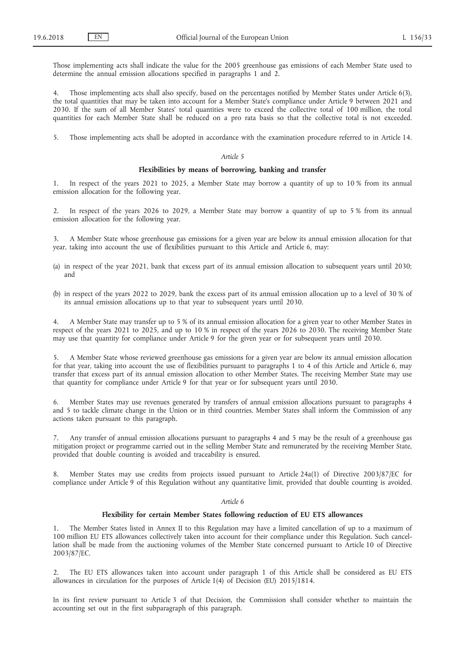Those implementing acts shall indicate the value for the 2005 greenhouse gas emissions of each Member State used to determine the annual emission allocations specified in paragraphs 1 and 2.

4. Those implementing acts shall also specify, based on the percentages notified by Member States under Article 6(3), the total quantities that may be taken into account for a Member State's compliance under Article 9 between 2021 and 2030. If the sum of all Member States' total quantities were to exceed the collective total of 100 million, the total quantities for each Member State shall be reduced on a pro rata basis so that the collective total is not exceeded.

5. Those implementing acts shall be adopted in accordance with the examination procedure referred to in Article 14.

### *Article 5*

#### **Flexibilities by means of borrowing, banking and transfer**

1. In respect of the years 2021 to 2025, a Member State may borrow a quantity of up to 10 % from its annual emission allocation for the following year.

2. In respect of the years 2026 to 2029, a Member State may borrow a quantity of up to 5 % from its annual emission allocation for the following year.

3. A Member State whose greenhouse gas emissions for a given year are below its annual emission allocation for that year, taking into account the use of flexibilities pursuant to this Article and Article 6, may:

- (a) in respect of the year 2021, bank that excess part of its annual emission allocation to subsequent years until 2030; and
- (b) in respect of the years 2022 to 2029, bank the excess part of its annual emission allocation up to a level of 30 % of its annual emission allocations up to that year to subsequent years until 2030.

4. A Member State may transfer up to 5 % of its annual emission allocation for a given year to other Member States in respect of the years 2021 to 2025, and up to 10 % in respect of the years 2026 to 2030. The receiving Member State may use that quantity for compliance under Article 9 for the given year or for subsequent years until 2030.

5. A Member State whose reviewed greenhouse gas emissions for a given year are below its annual emission allocation for that year, taking into account the use of flexibilities pursuant to paragraphs 1 to 4 of this Article and Article 6, may transfer that excess part of its annual emission allocation to other Member States. The receiving Member State may use that quantity for compliance under Article 9 for that year or for subsequent years until 2030.

6. Member States may use revenues generated by transfers of annual emission allocations pursuant to paragraphs 4 and 5 to tackle climate change in the Union or in third countries. Member States shall inform the Commission of any actions taken pursuant to this paragraph.

7. Any transfer of annual emission allocations pursuant to paragraphs 4 and 5 may be the result of a greenhouse gas mitigation project or programme carried out in the selling Member State and remunerated by the receiving Member State, provided that double counting is avoided and traceability is ensured.

8. Member States may use credits from projects issued pursuant to Article 24a(1) of Directive 2003/87/EC for compliance under Article 9 of this Regulation without any quantitative limit, provided that double counting is avoided.

#### *Article 6*

### **Flexibility for certain Member States following reduction of EU ETS allowances**

1. The Member States listed in Annex II to this Regulation may have a limited cancellation of up to a maximum of 100 million EU ETS allowances collectively taken into account for their compliance under this Regulation. Such cancellation shall be made from the auctioning volumes of the Member State concerned pursuant to Article 10 of Directive 2003/87/EC.

2. The EU ETS allowances taken into account under paragraph 1 of this Article shall be considered as EU ETS allowances in circulation for the purposes of Article 1(4) of Decision (EU) 2015/1814.

In its first review pursuant to Article 3 of that Decision, the Commission shall consider whether to maintain the accounting set out in the first subparagraph of this paragraph.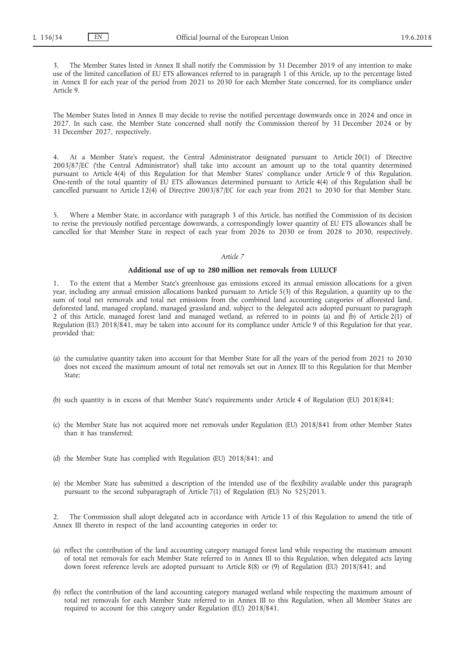3. The Member States listed in Annex II shall notify the Commission by 31 December 2019 of any intention to make use of the limited cancellation of EU ETS allowances referred to in paragraph 1 of this Article, up to the percentage listed in Annex II for each year of the period from 2021 to 2030 for each Member State concerned, for its compliance under Article 9.

The Member States listed in Annex II may decide to revise the notified percentage downwards once in 2024 and once in 2027. In such case, the Member State concerned shall notify the Commission thereof by 31 December 2024 or by 31 December 2027, respectively.

4. At a Member State's request, the Central Administrator designated pursuant to Article 20(1) of Directive 2003/87/EC ('the Central Administrator') shall take into account an amount up to the total quantity determined pursuant to Article 4(4) of this Regulation for that Member States' compliance under Article 9 of this Regulation. One-tenth of the total quantity of EU ETS allowances determined pursuant to Article 4(4) of this Regulation shall be cancelled pursuant to Article 12(4) of Directive 2003/87/EC for each year from 2021 to 2030 for that Member State.

5. Where a Member State, in accordance with paragraph 3 of this Article, has notified the Commission of its decision to revise the previously notified percentage downwards, a correspondingly lower quantity of EU ETS allowances shall be cancelled for that Member State in respect of each year from 2026 to 2030 or from 2028 to 2030, respectively.

### *Article 7*

#### **Additional use of up to 280 million net removals from LULUCF**

1. To the extent that a Member State's greenhouse gas emissions exceed its annual emission allocations for a given year, including any annual emission allocations banked pursuant to Article 5(3) of this Regulation, a quantity up to the sum of total net removals and total net emissions from the combined land accounting categories of afforested land, deforested land, managed cropland, managed grassland and, subject to the delegated acts adopted pursuant to paragraph 2 of this Article, managed forest land and managed wetland, as referred to in points (a) and (b) of Article 2(1) of Regulation (EU) 2018/841, may be taken into account for its compliance under Article 9 of this Regulation for that year, provided that:

- (a) the cumulative quantity taken into account for that Member State for all the years of the period from 2021 to 2030 does not exceed the maximum amount of total net removals set out in Annex III to this Regulation for that Member State;
- (b) such quantity is in excess of that Member State's requirements under Article 4 of Regulation (EU) 2018/841;
- (c) the Member State has not acquired more net removals under Regulation (EU) 2018/841 from other Member States than it has transferred;
- (d) the Member State has complied with Regulation (EU) 2018/841; and
- (e) the Member State has submitted a description of the intended use of the flexibility available under this paragraph pursuant to the second subparagraph of Article 7(1) of Regulation (EU) No 525/2013.

2. The Commission shall adopt delegated acts in accordance with Article 13 of this Regulation to amend the title of Annex III thereto in respect of the land accounting categories in order to:

- (a) reflect the contribution of the land accounting category managed forest land while respecting the maximum amount of total net removals for each Member State referred to in Annex III to this Regulation, when delegated acts laying down forest reference levels are adopted pursuant to Article 8(8) or (9) of Regulation (EU) 2018/841; and
- (b) reflect the contribution of the land accounting category managed wetland while respecting the maximum amount of total net removals for each Member State referred to in Annex III to this Regulation, when all Member States are required to account for this category under Regulation (EU) 2018/841.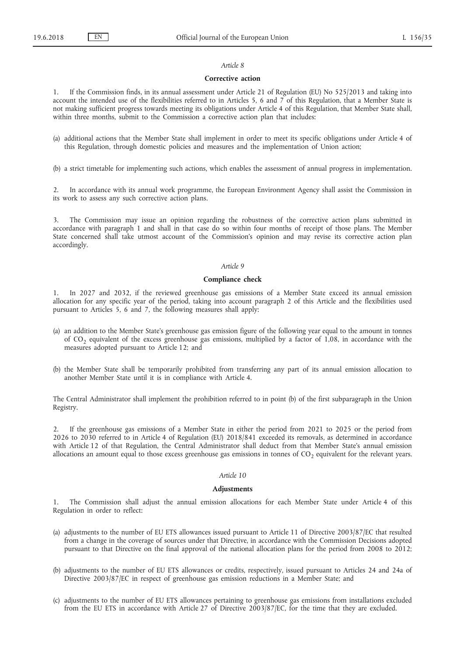### *Article 8*

#### **Corrective action**

1. If the Commission finds, in its annual assessment under Article 21 of Regulation (EU) No 525/2013 and taking into account the intended use of the flexibilities referred to in Articles 5, 6 and 7 of this Regulation, that a Member State is not making sufficient progress towards meeting its obligations under Article 4 of this Regulation, that Member State shall, within three months, submit to the Commission a corrective action plan that includes:

(a) additional actions that the Member State shall implement in order to meet its specific obligations under Article 4 of this Regulation, through domestic policies and measures and the implementation of Union action;

(b) a strict timetable for implementing such actions, which enables the assessment of annual progress in implementation.

2. In accordance with its annual work programme, the European Environment Agency shall assist the Commission in its work to assess any such corrective action plans.

3. The Commission may issue an opinion regarding the robustness of the corrective action plans submitted in accordance with paragraph 1 and shall in that case do so within four months of receipt of those plans. The Member State concerned shall take utmost account of the Commission's opinion and may revise its corrective action plan accordingly.

### *Article 9*

### **Compliance check**

1. In 2027 and 2032, if the reviewed greenhouse gas emissions of a Member State exceed its annual emission allocation for any specific year of the period, taking into account paragraph 2 of this Article and the flexibilities used pursuant to Articles 5, 6 and 7, the following measures shall apply:

- (a) an addition to the Member State's greenhouse gas emission figure of the following year equal to the amount in tonnes of  $CO<sub>2</sub>$  equivalent of the excess greenhouse gas emissions, multiplied by a factor of 1,08, in accordance with the measures adopted pursuant to Article 12; and
- (b) the Member State shall be temporarily prohibited from transferring any part of its annual emission allocation to another Member State until it is in compliance with Article 4.

The Central Administrator shall implement the prohibition referred to in point (b) of the first subparagraph in the Union Registry.

2. If the greenhouse gas emissions of a Member State in either the period from 2021 to 2025 or the period from 2026 to 2030 referred to in Article 4 of Regulation (EU) 2018/841 exceeded its removals, as determined in accordance with Article 12 of that Regulation, the Central Administrator shall deduct from that Member State's annual emission allocations an amount equal to those excess greenhouse gas emissions in tonnes of  $CO<sub>2</sub>$  equivalent for the relevant years.

#### *Article 10*

### **Adjustments**

1. The Commission shall adjust the annual emission allocations for each Member State under Article 4 of this Regulation in order to reflect:

- (a) adjustments to the number of EU ETS allowances issued pursuant to Article 11 of Directive 2003/87/EC that resulted from a change in the coverage of sources under that Directive, in accordance with the Commission Decisions adopted pursuant to that Directive on the final approval of the national allocation plans for the period from 2008 to 2012;
- (b) adjustments to the number of EU ETS allowances or credits, respectively, issued pursuant to Articles 24 and 24a of Directive 2003/87/EC in respect of greenhouse gas emission reductions in a Member State; and
- (c) adjustments to the number of EU ETS allowances pertaining to greenhouse gas emissions from installations excluded from the EU ETS in accordance with Article 27 of Directive 2003/87/EC, for the time that they are excluded.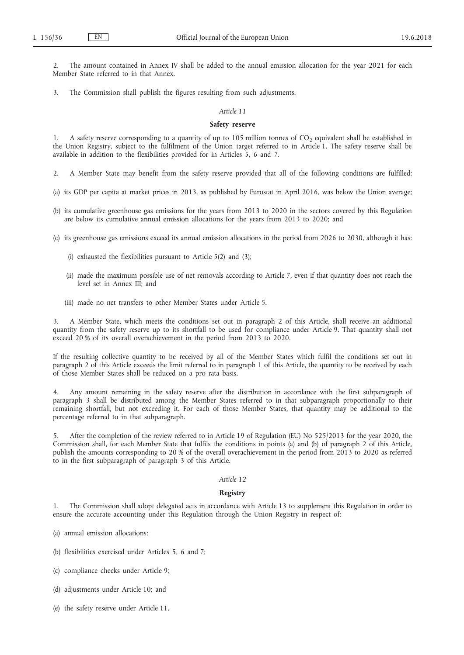2. The amount contained in Annex IV shall be added to the annual emission allocation for the year 2021 for each Member State referred to in that Annex.

3. The Commission shall publish the figures resulting from such adjustments.

### *Article 11*

### **Safety reserve**

A safety reserve corresponding to a quantity of up to 105 million tonnes of  $CO<sub>2</sub>$  equivalent shall be established in the Union Registry, subject to the fulfilment of the Union target referred to in Article 1. The safety reserve shall be available in addition to the flexibilities provided for in Articles 5, 6 and 7.

2. A Member State may benefit from the safety reserve provided that all of the following conditions are fulfilled:

- (a) its GDP per capita at market prices in 2013, as published by Eurostat in April 2016, was below the Union average;
- (b) its cumulative greenhouse gas emissions for the years from 2013 to 2020 in the sectors covered by this Regulation are below its cumulative annual emission allocations for the years from 2013 to 2020; and

(c) its greenhouse gas emissions exceed its annual emission allocations in the period from 2026 to 2030, although it has:

- (i) exhausted the flexibilities pursuant to Article 5(2) and (3);
- (ii) made the maximum possible use of net removals according to Article 7, even if that quantity does not reach the level set in Annex III; and
- (iii) made no net transfers to other Member States under Article 5.

3. A Member State, which meets the conditions set out in paragraph 2 of this Article, shall receive an additional quantity from the safety reserve up to its shortfall to be used for compliance under Article 9. That quantity shall not exceed 20 % of its overall overachievement in the period from 2013 to 2020.

If the resulting collective quantity to be received by all of the Member States which fulfil the conditions set out in paragraph 2 of this Article exceeds the limit referred to in paragraph 1 of this Article, the quantity to be received by each of those Member States shall be reduced on a pro rata basis.

4. Any amount remaining in the safety reserve after the distribution in accordance with the first subparagraph of paragraph 3 shall be distributed among the Member States referred to in that subparagraph proportionally to their remaining shortfall, but not exceeding it. For each of those Member States, that quantity may be additional to the percentage referred to in that subparagraph.

5. After the completion of the review referred to in Article 19 of Regulation (EU) No 525/2013 for the year 2020, the Commission shall, for each Member State that fulfils the conditions in points (a) and (b) of paragraph 2 of this Article, publish the amounts corresponding to 20 % of the overall overachievement in the period from 2013 to 2020 as referred to in the first subparagraph of paragraph 3 of this Article.

### *Article 12*

### **Registry**

1. The Commission shall adopt delegated acts in accordance with Article 13 to supplement this Regulation in order to ensure the accurate accounting under this Regulation through the Union Registry in respect of:

- (a) annual emission allocations;
- (b) flexibilities exercised under Articles 5, 6 and 7;
- (c) compliance checks under Article 9;
- (d) adjustments under Article 10; and
- (e) the safety reserve under Article 11.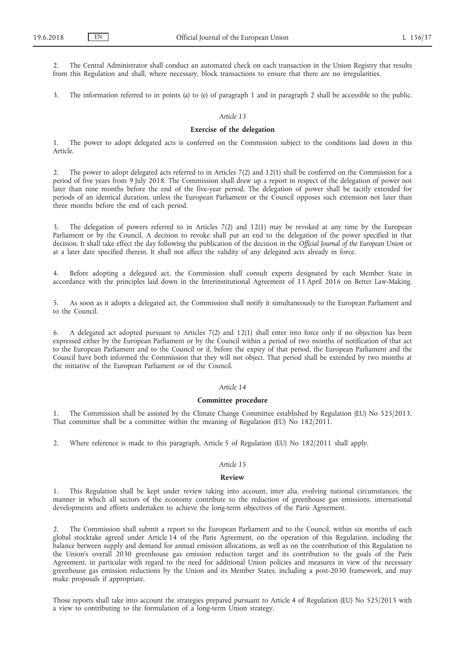2. The Central Administrator shall conduct an automated check on each transaction in the Union Registry that results from this Regulation and shall, where necessary, block transactions to ensure that there are no irregularities.

3. The information referred to in points (a) to (e) of paragraph 1 and in paragraph 2 shall be accessible to the public.

### *Article 13*

### **Exercise of the delegation**

1. The power to adopt delegated acts is conferred on the Commission subject to the conditions laid down in this Article.

2. The power to adopt delegated acts referred to in Articles 7(2) and 12(1) shall be conferred on the Commission for a period of five years from 9 July 2018. The Commission shall draw up a report in respect of the delegation of power not later than nine months before the end of the five-year period. The delegation of power shall be tacitly extended for periods of an identical duration, unless the European Parliament or the Council opposes such extension not later than three months before the end of each period.

The delegation of powers referred to in Articles  $7(2)$  and  $12(1)$  may be revoked at any time by the European Parliament or by the Council. A decision to revoke shall put an end to the delegation of the power specified in that decision. It shall take effect the day following the publication of the decision in the *Official Journal of the European Union* or at a later date specified therein. It shall not affect the validity of any delegated acts already in force.

4. Before adopting a delegated act, the Commission shall consult experts designated by each Member State in accordance with the principles laid down in the Interinstitutional Agreement of 13 April 2016 on Better Law-Making.

5. As soon as it adopts a delegated act, the Commission shall notify it simultaneously to the European Parliament and to the Council.

6. A delegated act adopted pursuant to Articles 7(2) and 12(1) shall enter into force only if no objection has been expressed either by the European Parliament or by the Council within a period of two months of notification of that act to the European Parliament and to the Council or if, before the expiry of that period, the European Parliament and the Council have both informed the Commission that they will not object. That period shall be extended by two months at the initiative of the European Parliament or of the Council.

### *Article 14*

### **Committee procedure**

1. The Commission shall be assisted by the Climate Change Committee established by Regulation (EU) No 525/2013. That committee shall be a committee within the meaning of Regulation (EU) No 182/2011.

2. Where reference is made to this paragraph, Article 5 of Regulation (EU) No 182/2011 shall apply.

#### *Article 15*

#### **Review**

1. This Regulation shall be kept under review taking into account, inter alia, evolving national circumstances, the manner in which all sectors of the economy contribute to the reduction of greenhouse gas emissions, international developments and efforts undertaken to achieve the long-term objectives of the Paris Agreement.

2. The Commission shall submit a report to the European Parliament and to the Council, within six months of each global stocktake agreed under Article 14 of the Paris Agreement, on the operation of this Regulation, including the balance between supply and demand for annual emission allocations, as well as on the contribution of this Regulation to the Union's overall 2030 greenhouse gas emission reduction target and its contribution to the goals of the Paris Agreement, in particular with regard to the need for additional Union policies and measures in view of the necessary greenhouse gas emission reductions by the Union and its Member States, including a post-2030 framework, and may make proposals if appropriate.

Those reports shall take into account the strategies prepared pursuant to Article 4 of Regulation (EU) No 525/2013 with a view to contributing to the formulation of a long-term Union strategy.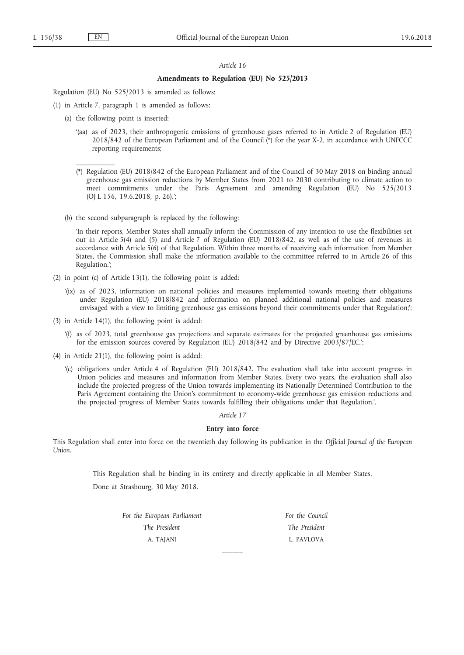$\mathcal{L}=\mathcal{L}$ 

#### *Article 16*

### **Amendments to Regulation (EU) No 525/2013**

Regulation (EU) No 525/2013 is amended as follows:

- (1) in Article 7, paragraph 1 is amended as follows:
	- (a) the following point is inserted:
		- '(aa) as of 2023, their anthropogenic emissions of greenhouse gases referred to in Article 2 of Regulation (EU) 2018/842 of the European Parliament and of the Council (\*) for the year X-2, in accordance with UNFCCC reporting requirements;
		- (\*) Regulation (EU) 2018/842 of the European Parliament and of the Council of 30 May 2018 on binding annual greenhouse gas emission reductions by Member States from 2021 to 2030 contributing to climate action to meet commitments under the Paris Agreement and amending Regulation (EU) No 525/2013 (OJ L 156, 19.6.2018, p. 26).';
	- (b) the second subparagraph is replaced by the following:

'In their reports, Member States shall annually inform the Commission of any intention to use the flexibilities set out in Article 5(4) and (5) and Article 7 of Regulation (EU) 2018/842, as well as of the use of revenues in accordance with Article 5(6) of that Regulation. Within three months of receiving such information from Member States, the Commission shall make the information available to the committee referred to in Article 26 of this Regulation.';

- (2) in point (c) of Article 13(1), the following point is added:
	- '(ix) as of 2023, information on national policies and measures implemented towards meeting their obligations under Regulation (EU) 2018/842 and information on planned additional national policies and measures envisaged with a view to limiting greenhouse gas emissions beyond their commitments under that Regulation;';
- (3) in Article 14(1), the following point is added:
	- '(f) as of 2023, total greenhouse gas projections and separate estimates for the projected greenhouse gas emissions for the emission sources covered by Regulation (EU) 2018/842 and by Directive 2003/87/EC.';
- (4) in Article 21(1), the following point is added:
	- '(c) obligations under Article 4 of Regulation (EU) 2018/842. The evaluation shall take into account progress in Union policies and measures and information from Member States. Every two years, the evaluation shall also include the projected progress of the Union towards implementing its Nationally Determined Contribution to the Paris Agreement containing the Union's commitment to economy-wide greenhouse gas emission reductions and the projected progress of Member States towards fulfilling their obligations under that Regulation.'.

### *Article 17*

### **Entry into force**

This Regulation shall enter into force on the twentieth day following its publication in the *Official Journal of the European Union*.

This Regulation shall be binding in its entirety and directly applicable in all Member States.

 $\overline{\phantom{a}}$ 

Done at Strasbourg, 30 May 2018.

*For the European Parliament The President* A. TAJANI

*For the Council The President* L. PAVLOVA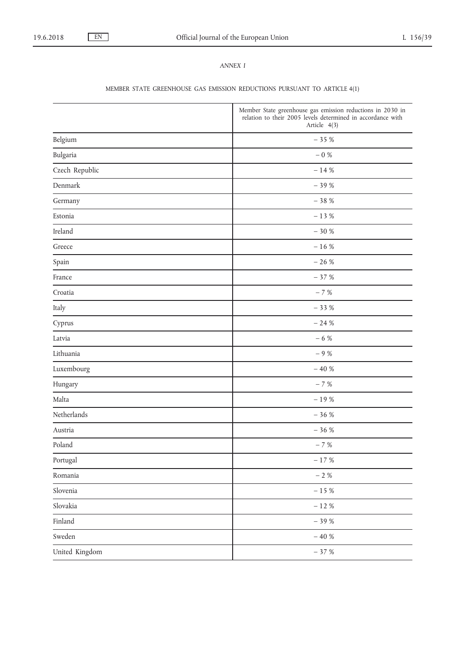### *ANNEX I*

# MEMBER STATE GREENHOUSE GAS EMISSION REDUCTIONS PURSUANT TO ARTICLE 4(1)

|                | Member State greenhouse gas emission reductions in 2030 in<br>relation to their 2005 levels determined in accordance with<br>Article 4(3) |
|----------------|-------------------------------------------------------------------------------------------------------------------------------------------|
| Belgium        | $-35%$                                                                                                                                    |
| Bulgaria       | $-$ 0 $\%$                                                                                                                                |
| Czech Republic | $-14%$                                                                                                                                    |
| Denmark        | $-39%$                                                                                                                                    |
| Germany        | $-38%$                                                                                                                                    |
| Estonia        | $-13%$                                                                                                                                    |
| Ireland        | $-30%$                                                                                                                                    |
| Greece         | $-16%$                                                                                                                                    |
| Spain          | $-26%$                                                                                                                                    |
| France         | $-37%$                                                                                                                                    |
| Croatia        | $-7%$                                                                                                                                     |
| Italy          | $-33%$                                                                                                                                    |
| Cyprus         | $-24%$                                                                                                                                    |
| Latvia         | $-6%$                                                                                                                                     |
| Lithuania      | $-9%$                                                                                                                                     |
| Luxembourg     | $-40%$                                                                                                                                    |
| Hungary        | $-7%$                                                                                                                                     |
| Malta          | $-19~\%$                                                                                                                                  |
| Netherlands    | $-36%$                                                                                                                                    |
| Austria        | $-36%$                                                                                                                                    |
| Poland         | $-7%$                                                                                                                                     |
| Portugal       | $-$ 17 $\%$                                                                                                                               |
| Romania        | $-$ 2 $\%$                                                                                                                                |
| Slovenia       | $-$ 15 $\%$                                                                                                                               |
| Slovakia       | $-$ 12 $\%$                                                                                                                               |
| Finland        | $-$ 39 $\%$                                                                                                                               |
| Sweden         | $-$ 40 $\%$                                                                                                                               |
| United Kingdom | $-37%$                                                                                                                                    |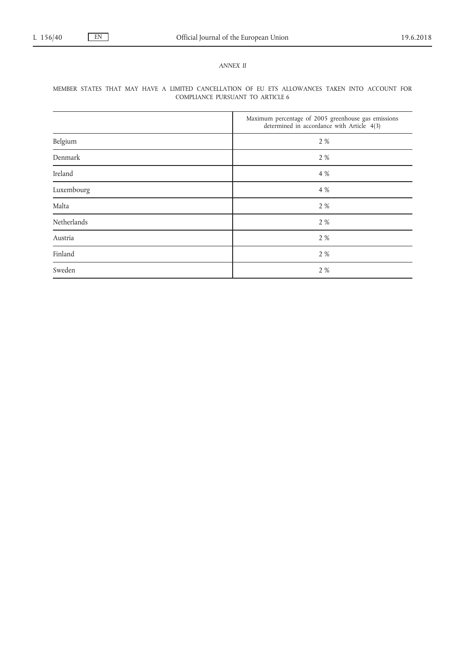### *ANNEX II*

## MEMBER STATES THAT MAY HAVE A LIMITED CANCELLATION OF EU ETS ALLOWANCES TAKEN INTO ACCOUNT FOR COMPLIANCE PURSUANT TO ARTICLE 6

|             | Maximum percentage of 2005 greenhouse gas emissions<br>determined in accordance with Article 4(3) |
|-------------|---------------------------------------------------------------------------------------------------|
| Belgium     | 2 %                                                                                               |
| Denmark     | 2 %                                                                                               |
| Ireland     | 4 %                                                                                               |
| Luxembourg  | 4 %                                                                                               |
| Malta       | 2 %                                                                                               |
| Netherlands | 2 %                                                                                               |
| Austria     | 2 %                                                                                               |
| Finland     | 2 %                                                                                               |
| Sweden      | 2 %                                                                                               |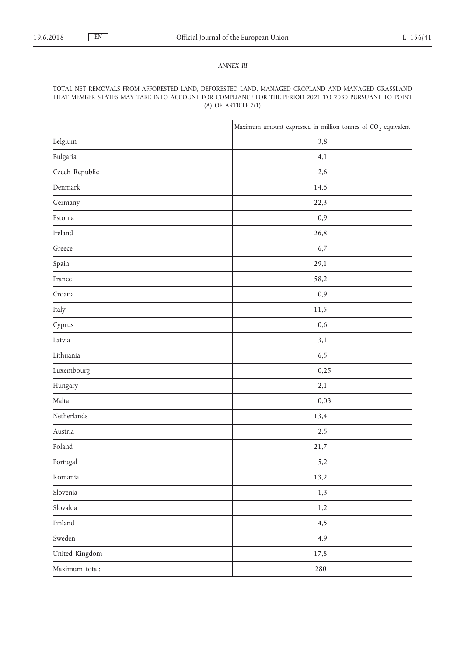### *ANNEX III*

### TOTAL NET REMOVALS FROM AFFORESTED LAND, DEFORESTED LAND, MANAGED CROPLAND AND MANAGED GRASSLAND THAT MEMBER STATES MAY TAKE INTO ACCOUNT FOR COMPLIANCE FOR THE PERIOD 2021 TO 2030 PURSUANT TO POINT (A) OF ARTICLE 7(1)

|                | Maximum amount expressed in million tonnes of $CO2$ equivalent |
|----------------|----------------------------------------------------------------|
| Belgium        | 3,8                                                            |
| Bulgaria       | 4,1                                                            |
| Czech Republic | 2,6                                                            |
| Denmark        | 14,6                                                           |
| Germany        | 22,3                                                           |
| Estonia        | 0,9                                                            |
| Ireland        | 26,8                                                           |
| Greece         | 6,7                                                            |
| Spain          | 29,1                                                           |
| France         | 58,2                                                           |
| Croatia        | 0,9                                                            |
| Italy          | 11,5                                                           |
| Cyprus         | 0,6                                                            |
| Latvia         | 3,1                                                            |
| Lithuania      | 6,5                                                            |
| Luxembourg     | 0,25                                                           |
| Hungary        | 2,1                                                            |
| Malta          | 0,03                                                           |
| Netherlands    | 13,4                                                           |
| Austria        | 2,5                                                            |
| Poland         | 21,7                                                           |
| Portugal       | 5,2                                                            |
| Romania        | 13,2                                                           |
| Slovenia       | 1,3                                                            |
| Slovakia       | 1,2                                                            |
| Finland        | 4,5                                                            |
| Sweden         | 4,9                                                            |
| United Kingdom | 17,8                                                           |
| Maximum total: | 280                                                            |